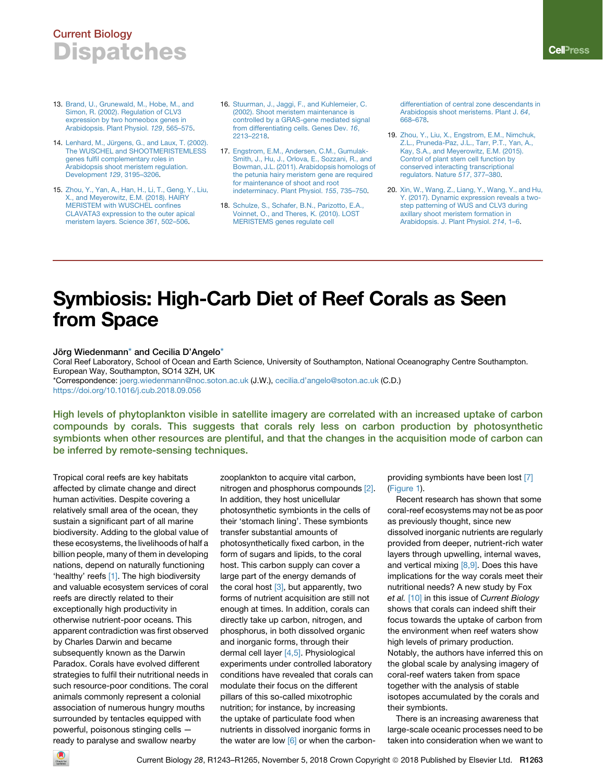## Current Biology **Dispatches**

- 13. [Brand, U., Grunewald, M., Hobe, M., and](http://refhub.elsevier.com/S0960-9822(18)31264-8/sref13) [Simon, R. \(2002\). Regulation of CLV3](http://refhub.elsevier.com/S0960-9822(18)31264-8/sref13) [expression by two homeobox genes in](http://refhub.elsevier.com/S0960-9822(18)31264-8/sref13) [Arabidopsis. Plant Physiol.](http://refhub.elsevier.com/S0960-9822(18)31264-8/sref13) *129*, 565–575.
- 14. Lenhard, M., Jü[rgens, G., and Laux, T. \(2002\).](http://refhub.elsevier.com/S0960-9822(18)31264-8/sref14) [The WUSCHEL and SHOOTMERISTEMLESS](http://refhub.elsevier.com/S0960-9822(18)31264-8/sref14) [genes fulfil complementary roles in](http://refhub.elsevier.com/S0960-9822(18)31264-8/sref14) [Arabidopsis shoot meristem regulation.](http://refhub.elsevier.com/S0960-9822(18)31264-8/sref14) [Development](http://refhub.elsevier.com/S0960-9822(18)31264-8/sref14) *129*, 3195–3206.
- 15. [Zhou, Y., Yan, A., Han, H., Li, T., Geng, Y., Liu,](http://refhub.elsevier.com/S0960-9822(18)31264-8/sref15) [X., and Meyerowitz, E.M. \(2018\). HAIRY](http://refhub.elsevier.com/S0960-9822(18)31264-8/sref15) [MERISTEM with WUSCHEL confines](http://refhub.elsevier.com/S0960-9822(18)31264-8/sref15) [CLAVATA3 expression to the outer apical](http://refhub.elsevier.com/S0960-9822(18)31264-8/sref15) [meristem layers. Science](http://refhub.elsevier.com/S0960-9822(18)31264-8/sref15) *361*, 502–506.
- 16. [Stuurman, J., Jaggi, F., and Kuhlemeier, C.](http://refhub.elsevier.com/S0960-9822(18)31264-8/sref16) [\(2002\). Shoot meristem maintenance is](http://refhub.elsevier.com/S0960-9822(18)31264-8/sref16) [controlled by a GRAS-gene mediated signal](http://refhub.elsevier.com/S0960-9822(18)31264-8/sref16) [from differentiating cells. Genes Dev.](http://refhub.elsevier.com/S0960-9822(18)31264-8/sref16) *16*, [2213–2218](http://refhub.elsevier.com/S0960-9822(18)31264-8/sref16).
- 17. [Engstrom, E.M., Andersen, C.M., Gumulak-](http://refhub.elsevier.com/S0960-9822(18)31264-8/sref17)[Smith, J., Hu, J., Orlova, E., Sozzani, R., and](http://refhub.elsevier.com/S0960-9822(18)31264-8/sref17) [Bowman, J.L. \(2011\). Arabidopsis homologs of](http://refhub.elsevier.com/S0960-9822(18)31264-8/sref17) [the petunia hairy meristem gene are required](http://refhub.elsevier.com/S0960-9822(18)31264-8/sref17) [for maintenance of shoot and root](http://refhub.elsevier.com/S0960-9822(18)31264-8/sref17) [indeterminacy. Plant Physiol.](http://refhub.elsevier.com/S0960-9822(18)31264-8/sref17) *155*, 735–750.
- 18. [Schulze, S., Schafer, B.N., Parizotto, E.A.,](http://refhub.elsevier.com/S0960-9822(18)31264-8/sref18) [Voinnet, O., and Theres, K. \(2010\). LOST](http://refhub.elsevier.com/S0960-9822(18)31264-8/sref18) [MERISTEMS genes regulate cell](http://refhub.elsevier.com/S0960-9822(18)31264-8/sref18)

[differentiation of central zone descendants in](http://refhub.elsevier.com/S0960-9822(18)31264-8/sref18) [Arabidopsis shoot meristems. Plant J.](http://refhub.elsevier.com/S0960-9822(18)31264-8/sref18) *64*, [668–678](http://refhub.elsevier.com/S0960-9822(18)31264-8/sref18).

- 19. [Zhou, Y., Liu, X., Engstrom, E.M., Nimchuk,](http://refhub.elsevier.com/S0960-9822(18)31264-8/sref19) [Z.L., Pruneda-Paz, J.L., Tarr, P.T., Yan, A.,](http://refhub.elsevier.com/S0960-9822(18)31264-8/sref19) [Kay, S.A., and Meyerowitz, E.M. \(2015\).](http://refhub.elsevier.com/S0960-9822(18)31264-8/sref19) [Control of plant stem cell function by](http://refhub.elsevier.com/S0960-9822(18)31264-8/sref19) [conserved interacting transcriptional](http://refhub.elsevier.com/S0960-9822(18)31264-8/sref19) [regulators. Nature](http://refhub.elsevier.com/S0960-9822(18)31264-8/sref19) *517*, 377–380.
- 20. [Xin, W., Wang, Z., Liang, Y., Wang, Y., and Hu,](http://refhub.elsevier.com/S0960-9822(18)31264-8/sref20) [Y. \(2017\). Dynamic expression reveals a two](http://refhub.elsevier.com/S0960-9822(18)31264-8/sref20)[step patterning of WUS and CLV3 during](http://refhub.elsevier.com/S0960-9822(18)31264-8/sref20) [axillary shoot meristem formation in](http://refhub.elsevier.com/S0960-9822(18)31264-8/sref20) [Arabidopsis. J. Plant Physiol.](http://refhub.elsevier.com/S0960-9822(18)31264-8/sref20) *214*, 1–6.

# Symbiosis: High-Carb Diet of Reef Corals as Seen from Space

Jörg Wiedenmann<sup>[\\*](#page-0-0)</sup> and Cecilia D'Angelo<sup>\*</sup>

Coral Reef Laboratory, School of Ocean and Earth Science, University of Southampton, National Oceanography Centre Southampton. European Way, Southampton, SO14 3ZH, UK

<span id="page-0-0"></span>\*Correspondence: [joerg.wiedenmann@noc.soton.ac.uk](mailto:joerg.wiedenmann@noc.soton.ac.uk) (J.W.), [cecilia.d'angelo@soton.ac.uk](mailto:cecilia.d'angelo@soton.ac.uk) (C.D.) <https://doi.org/10.1016/j.cub.2018.09.056>

High levels of phytoplankton visible in satellite imagery are correlated with an increased uptake of carbon compounds by corals. This suggests that corals rely less on carbon production by photosynthetic symbionts when other resources are plentiful, and that the changes in the acquisition mode of carbon can be inferred by remote-sensing techniques.

Tropical coral reefs are key habitats affected by climate change and direct human activities. Despite covering a relatively small area of the ocean, they sustain a significant part of all marine biodiversity. Adding to the global value of these ecosystems, the livelihoods of half a billion people, many of them in developing nations, depend on naturally functioning 'healthy' reefs [\[1\].](#page-2-0) The high biodiversity and valuable ecosystem services of coral reefs are directly related to their exceptionally high productivity in otherwise nutrient-poor oceans. This apparent contradiction was first observed by Charles Darwin and became subsequently known as the Darwin Paradox. Corals have evolved different strategies to fulfil their nutritional needs in such resource-poor conditions. The coral animals commonly represent a colonial association of numerous hungry mouths surrounded by tentacles equipped with powerful, poisonous stinging cells ready to paralyse and swallow nearby

zooplankton to acquire vital carbon, nitrogen and phosphorus compounds [\[2\]](#page-2-1). In addition, they host unicellular photosynthetic symbionts in the cells of their 'stomach lining'. These symbionts transfer substantial amounts of photosynthetically fixed carbon, in the form of sugars and lipids, to the coral host. This carbon supply can cover a large part of the energy demands of the coral host  $[3]$ , but apparently, two forms of nutrient acquisition are still not enough at times. In addition, corals can directly take up carbon, nitrogen, and phosphorus, in both dissolved organic and inorganic forms, through their dermal cell layer [\[4,5\].](#page-2-3) Physiological experiments under controlled laboratory conditions have revealed that corals can modulate their focus on the different pillars of this so-called mixotrophic nutrition; for instance, by increasing the uptake of particulate food when nutrients in dissolved inorganic forms in the water are low  $[6]$  or when the carbonproviding symbionts have been lost [\[7\]](#page-2-5) [\(Figure 1\)](#page-1-0).

Recent research has shown that some coral-reef ecosystems may not be as poor as previously thought, since new dissolved inorganic nutrients are regularly provided from deeper, nutrient-rich water layers through upwelling, internal waves, and vertical mixing [\[8,9\]](#page-2-6). Does this have implications for the way corals meet their nutritional needs? A new study by Fox *et al.* [\[10\]](#page-2-7) in this issue of *Current Biology* shows that corals can indeed shift their focus towards the uptake of carbon from the environment when reef waters show high levels of primary production. Notably, the authors have inferred this on the global scale by analysing imagery of coral-reef waters taken from space together with the analysis of stable isotopes accumulated by the corals and their symbionts.

There is an increasing awareness that large-scale oceanic processes need to be taken into consideration when we want to

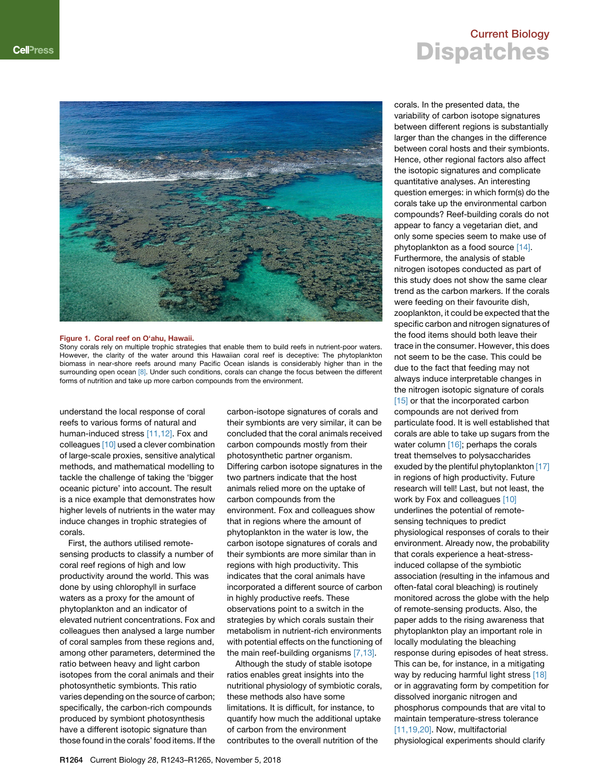<span id="page-1-0"></span>

Stony corals rely on multiple trophic strategies that enable them to build reefs in nutrient-poor waters. However, the clarity of the water around this Hawaiian coral reef is deceptive: The phytoplankton biomass in near-shore reefs around many Pacific Ocean islands is considerably higher than in the surrounding open ocean [\[8\].](#page-2-6) Under such conditions, corals can change the focus between the different forms of nutrition and take up more carbon compounds from the environment.

understand the local response of coral reefs to various forms of natural and human-induced stress [\[11,12\]](#page-2-8). Fox and colleagues [\[10\]](#page-2-7) used a clever combination of large-scale proxies, sensitive analytical methods, and mathematical modelling to tackle the challenge of taking the 'bigger oceanic picture' into account. The result is a nice example that demonstrates how higher levels of nutrients in the water may induce changes in trophic strategies of corals.

First, the authors utilised remotesensing products to classify a number of coral reef regions of high and low productivity around the world. This was done by using chlorophyll in surface waters as a proxy for the amount of phytoplankton and an indicator of elevated nutrient concentrations. Fox and colleagues then analysed a large number of coral samples from these regions and, among other parameters, determined the ratio between heavy and light carbon isotopes from the coral animals and their photosynthetic symbionts. This ratio varies depending on the source of carbon; specifically, the carbon-rich compounds produced by symbiont photosynthesis have a different isotopic signature than those found in the corals' food items. If the

carbon-isotope signatures of corals and their symbionts are very similar, it can be concluded that the coral animals received carbon compounds mostly from their photosynthetic partner organism. Differing carbon isotope signatures in the two partners indicate that the host animals relied more on the uptake of carbon compounds from the environment. Fox and colleagues show that in regions where the amount of phytoplankton in the water is low, the carbon isotope signatures of corals and their symbionts are more similar than in regions with high productivity. This indicates that the coral animals have incorporated a different source of carbon in highly productive reefs. These observations point to a switch in the strategies by which corals sustain their metabolism in nutrient-rich environments with potential effects on the functioning of the main reef-building organisms [\[7,13\].](#page-2-5)

Although the study of stable isotope ratios enables great insights into the nutritional physiology of symbiotic corals, these methods also have some limitations. It is difficult, for instance, to quantify how much the additional uptake of carbon from the environment contributes to the overall nutrition of the

#### Current Biology **Dispatches**

corals. In the presented data, the variability of carbon isotope signatures between different regions is substantially larger than the changes in the difference between coral hosts and their symbionts. Hence, other regional factors also affect the isotopic signatures and complicate quantitative analyses. An interesting question emerges: in which form(s) do the corals take up the environmental carbon compounds? Reef-building corals do not appear to fancy a vegetarian diet, and only some species seem to make use of phytoplankton as a food source [\[14\].](#page-2-9) Furthermore, the analysis of stable nitrogen isotopes conducted as part of this study does not show the same clear trend as the carbon markers. If the corals were feeding on their favourite dish, zooplankton, it could be expected that the specific carbon and nitrogen signatures of the food items should both leave their trace in the consumer. However, this does not seem to be the case. This could be due to the fact that feeding may not always induce interpretable changes in the nitrogen isotopic signature of corals [\[15\]](#page-2-10) or that the incorporated carbon compounds are not derived from particulate food. It is well established that corals are able to take up sugars from the water column [\[16\];](#page-2-11) perhaps the corals treat themselves to polysaccharides exuded by the plentiful phytoplankton [\[17\]](#page-2-12) in regions of high productivity. Future research will tell! Last, but not least, the work by Fox and colleagues [\[10\]](#page-2-7) underlines the potential of remotesensing techniques to predict physiological responses of corals to their environment. Already now, the probability that corals experience a heat-stressinduced collapse of the symbiotic association (resulting in the infamous and often-fatal coral bleaching) is routinely monitored across the globe with the help of remote-sensing products. Also, the paper adds to the rising awareness that phytoplankton play an important role in locally modulating the bleaching response during episodes of heat stress. This can be, for instance, in a mitigating way by reducing harmful light stress [\[18\]](#page-2-13) or in aggravating form by competition for dissolved inorganic nitrogen and phosphorus compounds that are vital to maintain temperature-stress tolerance [\[11,19,20\].](#page-2-8) Now, multifactorial physiological experiments should clarify